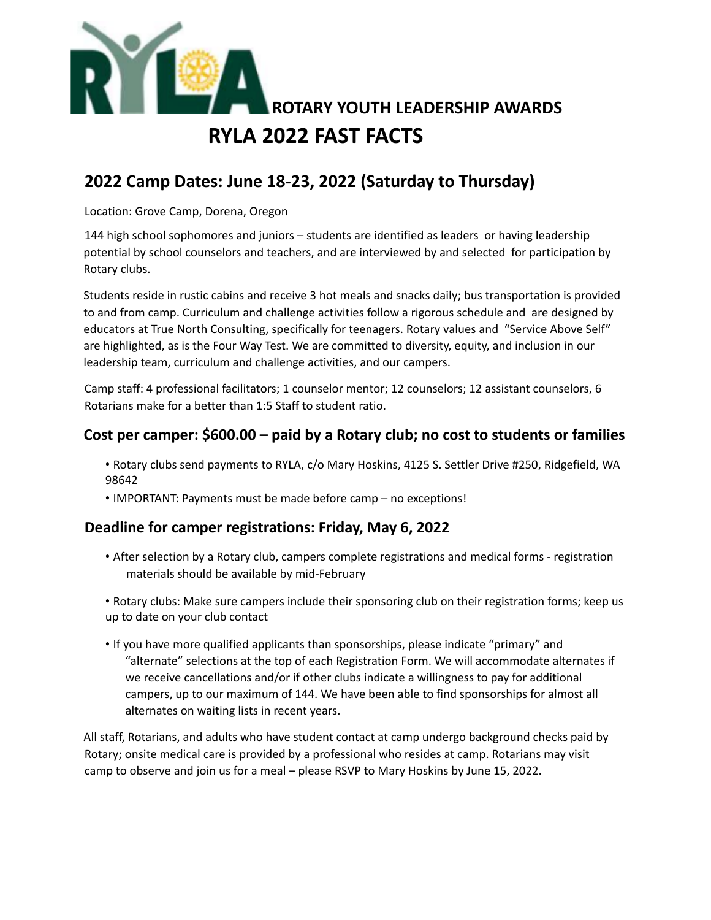

## **2022 Camp Dates: June 18-23, 2022 (Saturday to Thursday)**

Location: Grove Camp, Dorena, Oregon

144 high school sophomores and juniors – students are identified as leaders or having leadership potential by school counselors and teachers, and are interviewed by and selected for participation by Rotary clubs.

Students reside in rustic cabins and receive 3 hot meals and snacks daily; bus transportation is provided to and from camp. Curriculum and challenge activities follow a rigorous schedule and are designed by educators at True North Consulting, specifically for teenagers. Rotary values and "Service Above Self" are highlighted, as is the Four Way Test. We are committed to diversity, equity, and inclusion in our leadership team, curriculum and challenge activities, and our campers.

Camp staff: 4 professional facilitators; 1 counselor mentor; 12 counselors; 12 assistant counselors, 6 Rotarians make for a better than 1:5 Staff to student ratio.

## **Cost per camper: \$600.00 – paid by a Rotary club; no cost to students or families**

- Rotary clubs send payments to RYLA, c/o Mary Hoskins, 4125 S. Settler Drive #250, Ridgefield, WA 98642
- IMPORTANT: Payments must be made before camp no exceptions!

## **Deadline for camper registrations: Friday, May 6, 2022**

- After selection by a Rotary club, campers complete registrations and medical forms registration materials should be available by mid-February
- Rotary clubs: Make sure campers include their sponsoring club on their registration forms; keep us up to date on your club contact
- If you have more qualified applicants than sponsorships, please indicate "primary" and "alternate" selections at the top of each Registration Form. We will accommodate alternates if we receive cancellations and/or if other clubs indicate a willingness to pay for additional campers, up to our maximum of 144. We have been able to find sponsorships for almost all alternates on waiting lists in recent years.

All staff, Rotarians, and adults who have student contact at camp undergo background checks paid by Rotary; onsite medical care is provided by a professional who resides at camp. Rotarians may visit camp to observe and join us for a meal – please RSVP to Mary Hoskins by June 15, 2022.